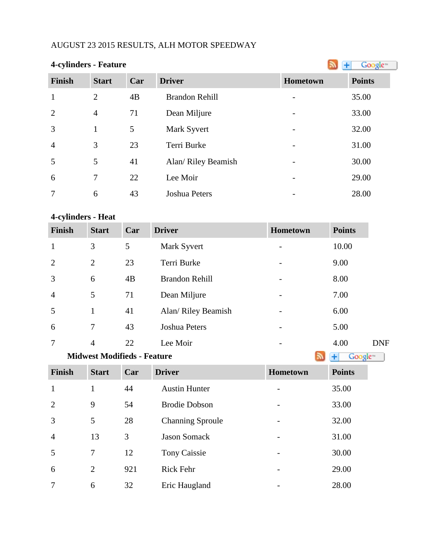# AUGUST 23 2015 RESULTS, ALH MOTOR SPEEDWAY

| <b>4-cylinders - Feature</b> |                |     |                       |                          | Google <sup>®</sup> |
|------------------------------|----------------|-----|-----------------------|--------------------------|---------------------|
| <b>Finish</b>                | <b>Start</b>   | Car | <b>Driver</b>         | Hometown                 | <b>Points</b>       |
| $\mathbf{1}$                 | $\overline{2}$ | 4B  | <b>Brandon Rehill</b> | $\overline{\phantom{a}}$ | 35.00               |
| 2                            | $\overline{4}$ | 71  | Dean Miljure          | $\overline{a}$           | 33.00               |
| $\overline{3}$               | $\mathbf{1}$   | 5   | Mark Syvert           |                          | 32.00               |
| $\overline{4}$               | 3              | 23  | Terri Burke           | $\overline{\phantom{a}}$ | 31.00               |
| 5                            | 5              | 41  | Alan/ Riley Beamish   | -                        | 30.00               |
| 6                            | $\overline{7}$ | 22  | Lee Moir              | $\overline{\phantom{a}}$ | 29.00               |
| $\overline{7}$               | 6              | 43  | Joshua Peters         | -                        | 28.00               |

# **4-cylinders - Heat**

| <b>Finish</b>  | <b>Start</b>   | Car | <b>Driver</b>         | Hometown                 | <b>Points</b> |
|----------------|----------------|-----|-----------------------|--------------------------|---------------|
| $\mathbf{1}$   | 3              | 5   | Mark Syvert           | -                        | 10.00         |
| 2              | $\overline{2}$ | 23  | Terri Burke           |                          | 9.00          |
| 3              | 6              | 4B  | <b>Brandon Rehill</b> |                          | 8.00          |
| $\overline{4}$ | 5              | 71  | Dean Miljure          |                          | 7.00          |
| 5              | $\mathbf{1}$   | 41  | Alan/ Riley Beamish   |                          | 6.00          |
| 6              | 7              | 43  | Joshua Peters         |                          | 5.00          |
| 7              | $\overline{4}$ | 22  | Lee Moir              | <b>Service Contracts</b> | 4.00          |

#### **MidwestModifieds - Feature Algebra 2013 Algebra 2014 Google**

| <b>Finish</b>  | <b>Start</b> | Car | <b>Driver</b>           | <b>Hometown</b> | <b>Points</b> |
|----------------|--------------|-----|-------------------------|-----------------|---------------|
| $\mathbf{1}$   |              | 44  | <b>Austin Hunter</b>    |                 | 35.00         |
| 2              | 9            | 54  | <b>Brodie Dobson</b>    |                 | 33.00         |
| 3              | 5            | 28  | <b>Channing Sproule</b> |                 | 32.00         |
| $\overline{4}$ | 13           | 3   | <b>Jason Somack</b>     |                 | 31.00         |
| 5              | 7            | 12  | Tony Caissie            |                 | 30.00         |
| 6              | 2            | 921 | Rick Fehr               |                 | 29.00         |
| 7              | 6            | 32  | Eric Haugland           |                 | 28.00         |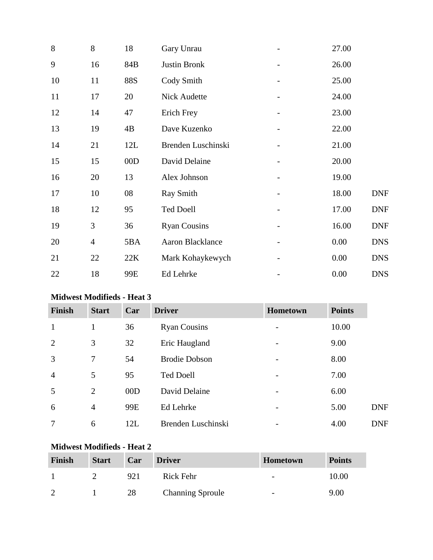| 8              | 18  | Gary Unrau          | 27.00 |            |
|----------------|-----|---------------------|-------|------------|
| 16             | 84B | Justin Bronk        | 26.00 |            |
| 11             | 88S | Cody Smith          | 25.00 |            |
| 17             | 20  | <b>Nick Audette</b> | 24.00 |            |
| 14             | 47  | Erich Frey          | 23.00 |            |
| 19             | 4B  | Dave Kuzenko        | 22.00 |            |
| 21             | 12L | Brenden Luschinski  | 21.00 |            |
| 15             | 00D | David Delaine       | 20.00 |            |
| 20             | 13  | Alex Johnson        | 19.00 |            |
| 10             | 08  | <b>Ray Smith</b>    | 18.00 | <b>DNF</b> |
| 12             | 95  | <b>Ted Doell</b>    | 17.00 | <b>DNF</b> |
| 3              | 36  | <b>Ryan Cousins</b> | 16.00 | <b>DNF</b> |
| $\overline{4}$ | 5BA | Aaron Blacklance    | 0.00  | <b>DNS</b> |
| 22             | 22K | Mark Kohaykewych    | 0.00  | <b>DNS</b> |
| 18             | 99E | Ed Lehrke           | 0.00  | <b>DNS</b> |
|                |     |                     |       |            |

# **Midwest Modifieds - Heat 3**

| <b>Finish</b>  | <b>Start</b>   | Car | <b>Driver</b>        | Hometown                 | <b>Points</b> |            |
|----------------|----------------|-----|----------------------|--------------------------|---------------|------------|
| $\mathbf{1}$   | $\mathbf{1}$   | 36  | <b>Ryan Cousins</b>  | $\overline{\phantom{a}}$ | 10.00         |            |
| 2              | 3              | 32  | Eric Haugland        |                          | 9.00          |            |
| 3              | 7              | 54  | <b>Brodie Dobson</b> |                          | 8.00          |            |
| $\overline{4}$ | 5              | 95  | <b>Ted Doell</b>     |                          | 7.00          |            |
| 5              | $\overline{2}$ | 00D | David Delaine        |                          | 6.00          |            |
| 6              | 4              | 99E | Ed Lehrke            |                          | 5.00          | <b>DNF</b> |
| 7              | 6              | 12L | Brenden Luschinski   |                          | 4.00          | <b>DNF</b> |

### **Midwest Modifieds - Heat 2**

| Finish | <b>Start</b> | Car | <b>Driver</b>           | <b>Hometown</b>          | <b>Points</b> |
|--------|--------------|-----|-------------------------|--------------------------|---------------|
|        |              | 921 | Rick Fehr               | $\overline{\phantom{a}}$ | 10.00         |
| ി      |              | 28  | <b>Channing Sproule</b> | $\overline{\phantom{0}}$ | 9.00          |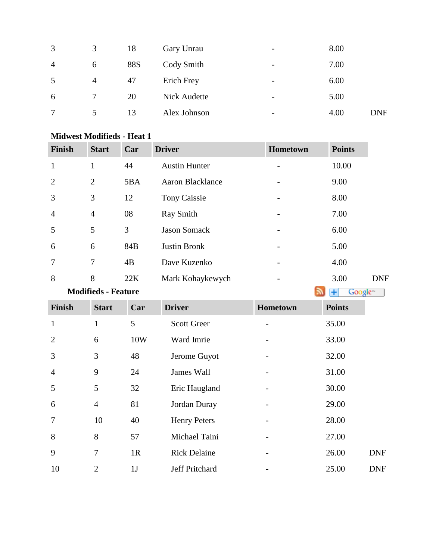| 3              | 3              | 18  | Gary Unrau          | $\overline{\phantom{0}}$ | 8.00 |            |
|----------------|----------------|-----|---------------------|--------------------------|------|------------|
| $\overline{4}$ | 6              | 88S | Cody Smith          | $\overline{\phantom{a}}$ | 7.00 |            |
| 5              | $\overline{4}$ | 47  | Erich Frey          | -                        | 6.00 |            |
| 6              | $\tau$         | 20  | <b>Nick Audette</b> | $\overline{\phantom{a}}$ | 5.00 |            |
| 7              | 5              | 13  | Alex Johnson        | $\overline{\phantom{a}}$ | 4.00 | <b>DNF</b> |
|                |                |     |                     |                          |      |            |

| <b>Finish</b>  | <b>Start</b>   | Car | <b>Driver</b>        | <b>Hometown</b> | <b>Points</b> |
|----------------|----------------|-----|----------------------|-----------------|---------------|
| $\mathbf{1}$   | 1              | 44  | <b>Austin Hunter</b> |                 | 10.00         |
| 2              | $\overline{2}$ | 5BA | Aaron Blacklance     | -               | 9.00          |
| 3              | 3              | 12  | Tony Caissie         |                 | 8.00          |
| $\overline{4}$ | $\overline{4}$ | 08  | <b>Ray Smith</b>     | -               | 7.00          |
| 5              | 5              | 3   | <b>Jason Somack</b>  |                 | 6.00          |
| 6              | 6              | 84B | <b>Justin Bronk</b>  |                 | 5.00          |
| 7              | 7              | 4B  | Dave Kuzenko         |                 | 4.00          |
| 8              | 8              | 22K | Mark Kohaykewych     |                 | 3.00          |

#### **Midwest Modifieds - Heat 1**

**Modifieds- Feature Algebra 2016 Modifieds - Feature** 

| <b>Finish</b>  | <b>Start</b>   | Car            | <b>Driver</b>         | Hometown | <b>Points</b> |            |
|----------------|----------------|----------------|-----------------------|----------|---------------|------------|
| $\mathbf{1}$   | $\mathbf{1}$   | 5              | <b>Scott Greer</b>    |          | 35.00         |            |
| $\overline{2}$ | 6              | 10W            | Ward Imrie            |          | 33.00         |            |
| 3              | 3              | 48             | Jerome Guyot          |          | 32.00         |            |
| $\overline{4}$ | 9              | 24             | James Wall            |          | 31.00         |            |
| 5              | 5              | 32             | Eric Haugland         |          | 30.00         |            |
| 6              | $\overline{4}$ | 81             | Jordan Duray          |          | 29.00         |            |
| $\overline{7}$ | 10             | 40             | <b>Henry Peters</b>   |          | 28.00         |            |
| 8              | 8              | 57             | Michael Taini         |          | 27.00         |            |
| 9              | $\overline{7}$ | 1R             | <b>Rick Delaine</b>   |          | 26.00         | <b>DNF</b> |
| 10             | $\overline{2}$ | 1 <sub>J</sub> | <b>Jeff Pritchard</b> |          | 25.00         | <b>DNF</b> |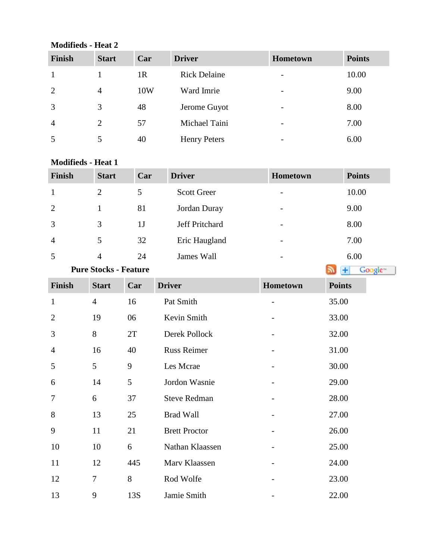# **Modifieds - Heat 2**

| Finish         | <b>Start</b> | Car            | <b>Driver</b>       | <b>Hometown</b>          | <b>Points</b> |
|----------------|--------------|----------------|---------------------|--------------------------|---------------|
|                |              | 1 <sub>R</sub> | <b>Rick Delaine</b> | $\overline{\phantom{0}}$ | 10.00         |
| 2              | 4            | 10W            | Ward Imrie          | $\overline{\phantom{0}}$ | 9.00          |
| 3              | 3            | 48             | Jerome Guyot        | $\overline{\phantom{0}}$ | 8.00          |
| $\overline{4}$ | 2            | 57             | Michael Taini       | $\overline{\phantom{0}}$ | 7.00          |
|                |              | 40             | <b>Henry Peters</b> |                          | 6.00          |

#### **Modifieds - Heat 1**

| <b>Finish</b>  | <b>Start</b>                 | Car | <b>Driver</b>      | <b>Hometown</b>          | <b>Points</b>       |
|----------------|------------------------------|-----|--------------------|--------------------------|---------------------|
| $\mathbf{1}$   | 2                            | 5   | <b>Scott Greer</b> |                          | 10.00               |
| 2              |                              | 81  | Jordan Duray       | $\overline{\phantom{a}}$ | 9.00                |
| 3              | 3                            | 1J  | Jeff Pritchard     | -                        | 8.00                |
| $\overline{4}$ | 5                            | 32  | Eric Haugland      | $\overline{\phantom{0}}$ | 7.00                |
| 5              | $\overline{4}$               | 24  | James Wall         |                          | 6.00                |
|                | <b>Pure Stocks - Feature</b> |     |                    |                          | Google <sup>®</sup> |

| Finish         | <b>Start</b>   | Car | <b>Driver</b>        | Hometown | <b>Points</b> |
|----------------|----------------|-----|----------------------|----------|---------------|
| $\mathbf{1}$   | $\overline{4}$ | 16  | Pat Smith            |          | 35.00         |
| $\overline{2}$ | 19             | 06  | Kevin Smith          |          | 33.00         |
| 3              | 8              | 2T  | Derek Pollock        |          | 32.00         |
| $\overline{4}$ | 16             | 40  | <b>Russ Reimer</b>   |          | 31.00         |
| 5              | 5              | 9   | Les Mcrae            |          | 30.00         |
| 6              | 14             | 5   | Jordon Wasnie        |          | 29.00         |
| $\tau$         | 6              | 37  | <b>Steve Redman</b>  |          | 28.00         |
| 8              | 13             | 25  | <b>Brad Wall</b>     |          | 27.00         |
| 9              | 11             | 21  | <b>Brett Proctor</b> |          | 26.00         |
| 10             | 10             | 6   | Nathan Klaassen      |          | 25.00         |
| 11             | 12             | 445 | Marv Klaassen        |          | 24.00         |
| 12             | 7              | 8   | Rod Wolfe            |          | 23.00         |
| 13             | 9              | 13S | Jamie Smith          |          | 22.00         |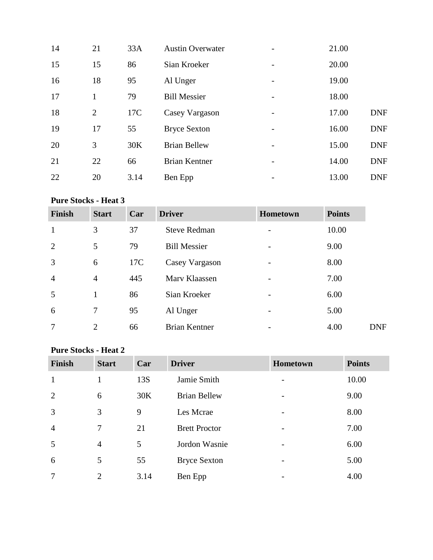| 14 | 21 | 33A  | <b>Austin Overwater</b> |                 | 21.00 |            |
|----|----|------|-------------------------|-----------------|-------|------------|
| 15 | 15 | 86   | Sian Kroeker            |                 | 20.00 |            |
| 16 | 18 | 95   | Al Unger                |                 | 19.00 |            |
| 17 |    | 79   | <b>Bill Messier</b>     |                 | 18.00 |            |
| 18 | 2  | 17C  | Casey Vargason          | -               | 17.00 | <b>DNF</b> |
| 19 | 17 | 55   | <b>Bryce Sexton</b>     |                 | 16.00 | <b>DNF</b> |
| 20 | 3  | 30K  | <b>Brian Bellew</b>     | $\qquad \qquad$ | 15.00 | <b>DNF</b> |
| 21 | 22 | 66   | <b>Brian Kentner</b>    |                 | 14.00 | <b>DNF</b> |
| 22 | 20 | 3.14 | Ben Epp                 | -               | 13.00 | <b>DNF</b> |

# **Pure Stocks - Heat 3**

| <b>Finish</b>  | <b>Start</b>   | Car | <b>Driver</b>        | Hometown | <b>Points</b> |            |
|----------------|----------------|-----|----------------------|----------|---------------|------------|
| $\mathbf{1}$   | 3              | 37  | <b>Steve Redman</b>  |          | 10.00         |            |
| $\overline{2}$ | 5              | 79  | <b>Bill Messier</b>  |          | 9.00          |            |
| $\overline{3}$ | 6              | 17C | Casey Vargason       |          | 8.00          |            |
| $\overline{4}$ | $\overline{4}$ | 445 | Mary Klaassen        |          | 7.00          |            |
| 5              | $\mathbf{1}$   | 86  | Sian Kroeker         |          | 6.00          |            |
| 6              | 7              | 95  | Al Unger             |          | 5.00          |            |
| 7              | $\overline{2}$ | 66  | <b>Brian Kentner</b> |          | 4.00          | <b>DNF</b> |

# **Pure Stocks - Heat 2**

| <b>Finish</b>  | <b>Start</b>   | Car  | <b>Driver</b>        | Hometown                 | <b>Points</b> |
|----------------|----------------|------|----------------------|--------------------------|---------------|
| $\mathbf{1}$   |                | 13S  | Jamie Smith          |                          | 10.00         |
| $\overline{2}$ | 6              | 30K  | <b>Brian Bellew</b>  |                          | 9.00          |
| 3              | 3              | 9    | Les Mcrae            | $\overline{\phantom{0}}$ | 8.00          |
| $\overline{4}$ | 7              | 21   | <b>Brett Proctor</b> | $\overline{\phantom{0}}$ | 7.00          |
| 5              | $\overline{4}$ | 5    | Jordon Wasnie        |                          | 6.00          |
| 6              | 5              | 55   | <b>Bryce Sexton</b>  | $\overline{\phantom{a}}$ | 5.00          |
| $\overline{7}$ | 2              | 3.14 | Ben Epp              |                          | 4.00          |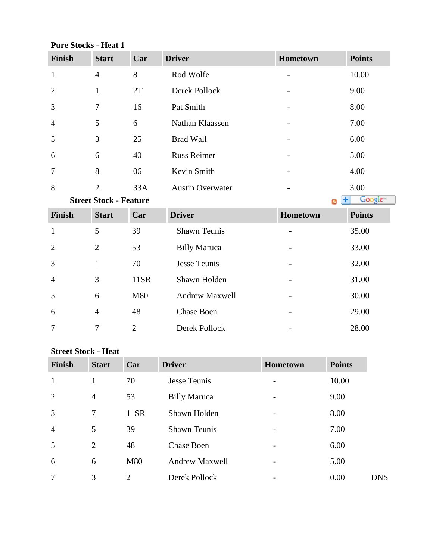#### **Pure Stocks - Heat 1**

| <b>Finish</b>  | <b>Start</b>                  | Car | <b>Driver</b>           | Hometown | <b>Points</b>                            |
|----------------|-------------------------------|-----|-------------------------|----------|------------------------------------------|
| $\mathbf{1}$   | $\overline{4}$                | 8   | Rod Wolfe               |          | 10.00                                    |
| $\overline{2}$ | $\mathbf{1}$                  | 2T  | Derek Pollock           |          | 9.00                                     |
| 3              | 7                             | 16  | Pat Smith               |          | 8.00                                     |
| 4              | 5                             | 6   | Nathan Klaassen         |          | 7.00                                     |
| 5              | 3                             | 25  | <b>Brad Wall</b>        |          | 6.00                                     |
| 6              | 6                             | 40  | <b>Russ Reimer</b>      |          | 5.00                                     |
| 7              | 8                             | 06  | Kevin Smith             |          | 4.00                                     |
| 8              | $\overline{2}$                | 33A | <b>Austin Overwater</b> |          | 3.00                                     |
|                | <b>Street Stock - Feature</b> |     |                         |          | Google <sup>®</sup><br>٠<br>$\mathbb{R}$ |
| <b>Finish</b>  | <b>Start</b>                  | Car | <b>Driver</b>           | Hometown | <b>Points</b>                            |
| $\mathbf{1}$   | 5                             | 39  | <b>Shawn Teunis</b>     |          | 35.00                                    |
| $\overline{2}$ | $\overline{2}$                | 53  | <b>Billy Maruca</b>     |          | 33.00                                    |
| 3              | $\mathbf{1}$                  | 70  | Jesse Teunis            |          | 32.00                                    |

### **Street Stock - Heat**

| Finish         | <b>Start</b>   | Car            | <b>Driver</b>         | Hometown | <b>Points</b> |            |
|----------------|----------------|----------------|-----------------------|----------|---------------|------------|
| 1              | 1              | 70             | Jesse Teunis          |          | 10.00         |            |
| 2              | $\overline{4}$ | 53             | <b>Billy Maruca</b>   |          | 9.00          |            |
| $\overline{3}$ | 7              | 11SR           | Shawn Holden          |          | 8.00          |            |
| $\overline{4}$ | 5              | 39             | <b>Shawn Teunis</b>   |          | 7.00          |            |
| 5              | 2              | 48             | <b>Chase Boen</b>     |          | 6.00          |            |
| 6              | 6              | M80            | <b>Andrew Maxwell</b> |          | 5.00          |            |
| $\overline{7}$ | 3              | $\overline{2}$ | Derek Pollock         |          | 0.00          | <b>DNS</b> |

4 3 11SR Shawn Holden - 31.00

6 M80 Andrew Maxwell - 30.00

6 4 48 Chase Boen - 29.00

7 2 Derek Pollock - 28.00